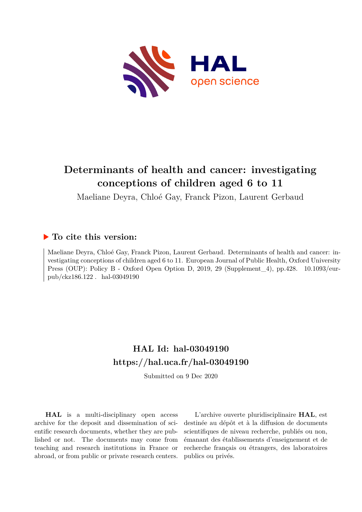

# **Determinants of health and cancer: investigating conceptions of children aged 6 to 11**

Maeliane Deyra, Chloé Gay, Franck Pizon, Laurent Gerbaud

### **To cite this version:**

Maeliane Deyra, Chloé Gay, Franck Pizon, Laurent Gerbaud. Determinants of health and cancer: investigating conceptions of children aged 6 to 11. European Journal of Public Health, Oxford University Press (OUP): Policy B - Oxford Open Option D, 2019, 29 (Supplement\_4), pp.428. 10.1093/eur $pub/ckz186.122$ . hal-03049190

## **HAL Id: hal-03049190 <https://hal.uca.fr/hal-03049190>**

Submitted on 9 Dec 2020

**HAL** is a multi-disciplinary open access archive for the deposit and dissemination of scientific research documents, whether they are published or not. The documents may come from teaching and research institutions in France or abroad, or from public or private research centers.

L'archive ouverte pluridisciplinaire **HAL**, est destinée au dépôt et à la diffusion de documents scientifiques de niveau recherche, publiés ou non, émanant des établissements d'enseignement et de recherche français ou étrangers, des laboratoires publics ou privés.